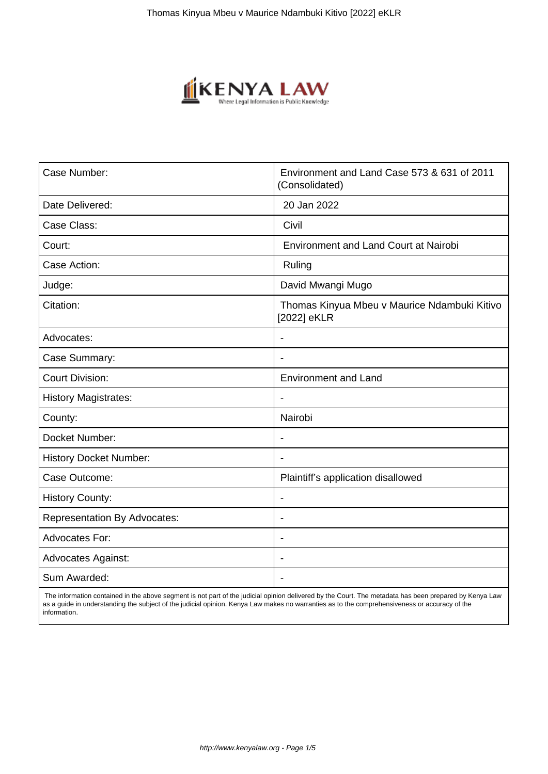

| Case Number:                        | Environment and Land Case 573 & 631 of 2011<br>(Consolidated) |
|-------------------------------------|---------------------------------------------------------------|
| Date Delivered:                     | 20 Jan 2022                                                   |
| Case Class:                         | Civil                                                         |
| Court:                              | <b>Environment and Land Court at Nairobi</b>                  |
| Case Action:                        | Ruling                                                        |
| Judge:                              | David Mwangi Mugo                                             |
| Citation:                           | Thomas Kinyua Mbeu v Maurice Ndambuki Kitivo<br>[2022] eKLR   |
| Advocates:                          |                                                               |
| Case Summary:                       | $\overline{\phantom{0}}$                                      |
| <b>Court Division:</b>              | <b>Environment and Land</b>                                   |
| <b>History Magistrates:</b>         |                                                               |
| County:                             | Nairobi                                                       |
| Docket Number:                      | $\qquad \qquad \blacksquare$                                  |
| <b>History Docket Number:</b>       | $\blacksquare$                                                |
| Case Outcome:                       | Plaintiff's application disallowed                            |
| <b>History County:</b>              | L.                                                            |
| <b>Representation By Advocates:</b> | $\blacksquare$                                                |
| <b>Advocates For:</b>               | $\blacksquare$                                                |
| <b>Advocates Against:</b>           |                                                               |
| Sum Awarded:                        |                                                               |

 The information contained in the above segment is not part of the judicial opinion delivered by the Court. The metadata has been prepared by Kenya Law as a guide in understanding the subject of the judicial opinion. Kenya Law makes no warranties as to the comprehensiveness or accuracy of the information.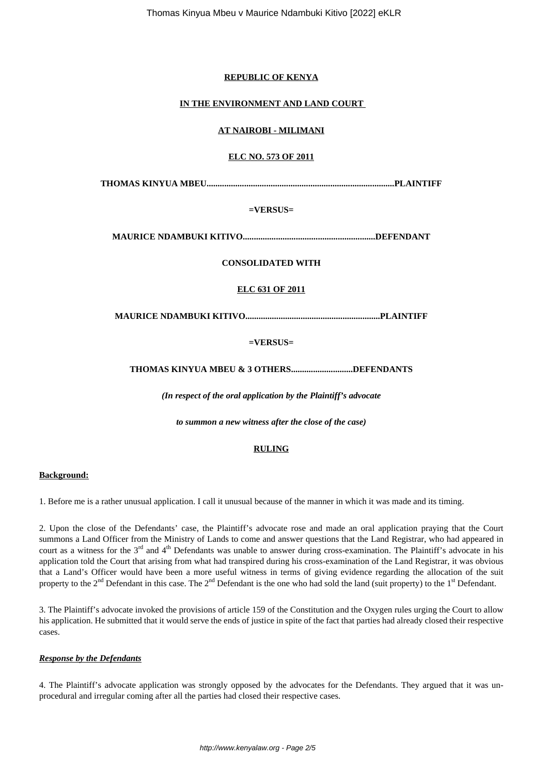#### **REPUBLIC OF KENYA**

#### **IN THE ENVIRONMENT AND LAND COURT**

#### **AT NAIROBI - MILIMANI**

# **ELC NO. 573 OF 2011**

**THOMAS KINYUA MBEU.....................................................................................PLAINTIFF**

### **=VERSUS=**

**MAURICE NDAMBUKI KITIVO............................................................DEFENDANT**

### **CONSOLIDATED WITH**

## **ELC 631 OF 2011**

**MAURICE NDAMBUKI KITIVO.............................................................PLAINTIFF**

### **=VERSUS=**

### **THOMAS KINYUA MBEU & 3 OTHERS............................DEFENDANTS**

*(In respect of the oral application by the Plaintiff's advocate*

*to summon a new witness after the close of the case)*

#### **RULING**

#### **Background:**

1. Before me is a rather unusual application. I call it unusual because of the manner in which it was made and its timing.

2. Upon the close of the Defendants' case, the Plaintiff's advocate rose and made an oral application praying that the Court summons a Land Officer from the Ministry of Lands to come and answer questions that the Land Registrar, who had appeared in court as a witness for the 3<sup>rd</sup> and 4<sup>th</sup> Defendants was unable to answer during cross-examination. The Plaintiff's advocate in his application told the Court that arising from what had transpired during his cross-examination of the Land Registrar, it was obvious that a Land's Officer would have been a more useful witness in terms of giving evidence regarding the allocation of the suit property to the  $2<sup>nd</sup>$  Defendant in this case. The  $2<sup>nd</sup>$  Defendant is the one who had sold the land (suit property) to the  $1<sup>st</sup>$  Defendant.

3. The Plaintiff's advocate invoked the provisions of article 159 of the Constitution and the Oxygen rules urging the Court to allow his application. He submitted that it would serve the ends of justice in spite of the fact that parties had already closed their respective cases.

#### *Response by the Defendants*

4. The Plaintiff's advocate application was strongly opposed by the advocates for the Defendants. They argued that it was unprocedural and irregular coming after all the parties had closed their respective cases.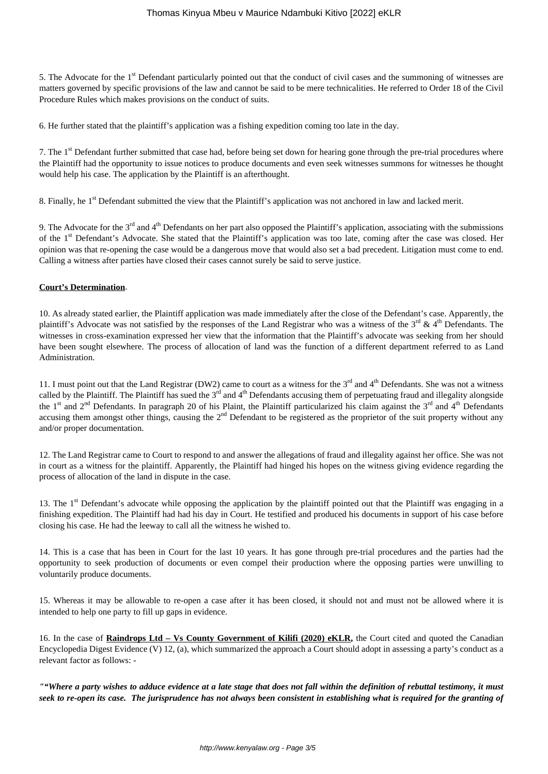5. The Advocate for the 1<sup>st</sup> Defendant particularly pointed out that the conduct of civil cases and the summoning of witnesses are matters governed by specific provisions of the law and cannot be said to be mere technicalities. He referred to Order 18 of the Civil Procedure Rules which makes provisions on the conduct of suits.

6. He further stated that the plaintiff's application was a fishing expedition coming too late in the day.

7. The 1<sup>st</sup> Defendant further submitted that case had, before being set down for hearing gone through the pre-trial procedures where the Plaintiff had the opportunity to issue notices to produce documents and even seek witnesses summons for witnesses he thought would help his case. The application by the Plaintiff is an afterthought.

8. Finally, he 1st Defendant submitted the view that the Plaintiff's application was not anchored in law and lacked merit.

9. The Advocate for the  $3<sup>rd</sup>$  and  $4<sup>th</sup>$  Defendants on her part also opposed the Plaintiff's application, associating with the submissions of the 1<sup>st</sup> Defendant's Advocate. She stated that the Plaintiff's application was too late, coming after the case was closed. Her opinion was that re-opening the case would be a dangerous move that would also set a bad precedent. Litigation must come to end. Calling a witness after parties have closed their cases cannot surely be said to serve justice.

#### **Court's Determination**.

10. As already stated earlier, the Plaintiff application was made immediately after the close of the Defendant's case. Apparently, the plaintiff's Advocate was not satisfied by the responses of the Land Registrar who was a witness of the  $3<sup>rd</sup>$  & 4<sup>th</sup> Defendants. The witnesses in cross-examination expressed her view that the information that the Plaintiff's advocate was seeking from her should have been sought elsewhere. The process of allocation of land was the function of a different department referred to as Land Administration.

11. I must point out that the Land Registrar (DW2) came to court as a witness for the  $3^{rd}$  and  $4^{th}$  Defendants. She was not a witness called by the Plaintiff. The Plaintiff has sued the  $3<sup>rd</sup>$  and  $4<sup>th</sup>$  Defendants accusing them of perpetuating fraud and illegality alongside the 1<sup>st</sup> and 2<sup>nd</sup> Defendants. In paragraph 20 of his Plaint, the Plaintiff particularized his claim against the 3<sup>rd</sup> and 4<sup>th</sup> Defendants accusing them amongst other things, causing the 2<sup>nd</sup> Defendant to be registered as the proprietor of the suit property without any and/or proper documentation.

12. The Land Registrar came to Court to respond to and answer the allegations of fraud and illegality against her office. She was not in court as a witness for the plaintiff. Apparently, the Plaintiff had hinged his hopes on the witness giving evidence regarding the process of allocation of the land in dispute in the case.

13. The 1<sup>st</sup> Defendant's advocate while opposing the application by the plaintiff pointed out that the Plaintiff was engaging in a finishing expedition. The Plaintiff had had his day in Court. He testified and produced his documents in support of his case before closing his case. He had the leeway to call all the witness he wished to.

14. This is a case that has been in Court for the last 10 years. It has gone through pre-trial procedures and the parties had the opportunity to seek production of documents or even compel their production where the opposing parties were unwilling to voluntarily produce documents.

15. Whereas it may be allowable to re-open a case after it has been closed, it should not and must not be allowed where it is intended to help one party to fill up gaps in evidence.

16. In the case of **Raindrops Ltd – Vs County Government of Kilifi (2020) eKLR,** the Court cited and quoted the Canadian Encyclopedia Digest Evidence (V) 12, (a), which summarized the approach a Court should adopt in assessing a party's conduct as a relevant factor as follows: -

*""Where a party wishes to adduce evidence at a late stage that does not fall within the definition of rebuttal testimony, it must seek to re-open its case. The jurisprudence has not always been consistent in establishing what is required for the granting of*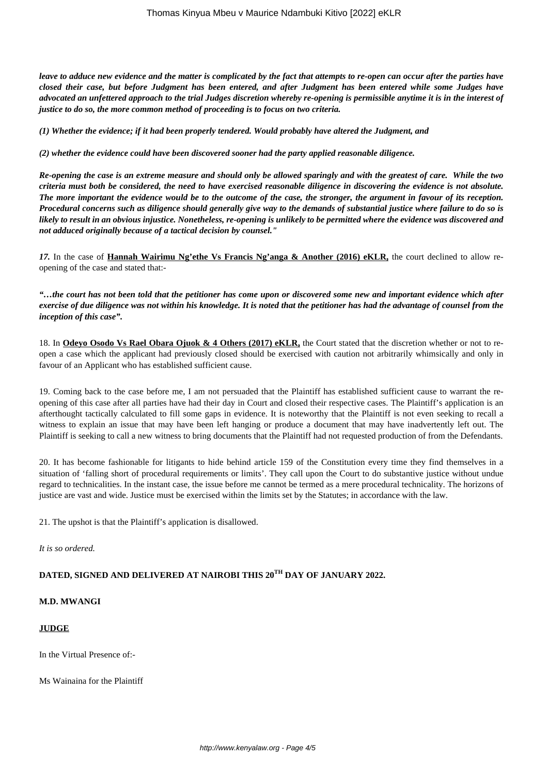*leave to adduce new evidence and the matter is complicated by the fact that attempts to re-open can occur after the parties have closed their case, but before Judgment has been entered, and after Judgment has been entered while some Judges have advocated an unfettered approach to the trial Judges discretion whereby re-opening is permissible anytime it is in the interest of justice to do so, the more common method of proceeding is to focus on two criteria.*

*(1) Whether the evidence; if it had been properly tendered. Would probably have altered the Judgment, and*

*(2) whether the evidence could have been discovered sooner had the party applied reasonable diligence.*

*Re-opening the case is an extreme measure and should only be allowed sparingly and with the greatest of care. While the two criteria must both be considered, the need to have exercised reasonable diligence in discovering the evidence is not absolute. The more important the evidence would be to the outcome of the case, the stronger, the argument in favour of its reception. Procedural concerns such as diligence should generally give way to the demands of substantial justice where failure to do so is likely to result in an obvious injustice. Nonetheless, re-opening is unlikely to be permitted where the evidence was discovered and not adduced originally because of a tactical decision by counsel."*

*17.* In the case of **Hannah Wairimu Ng'ethe Vs Francis Ng'anga & Another (2016) eKLR,** the court declined to allow reopening of the case and stated that:-

*"…the court has not been told that the petitioner has come upon or discovered some new and important evidence which after exercise of due diligence was not within his knowledge. It is noted that the petitioner has had the advantage of counsel from the inception of this case".*

18. In **Odeyo Osodo Vs Rael Obara Ojuok & 4 Others (2017) eKLR,** the Court stated that the discretion whether or not to reopen a case which the applicant had previously closed should be exercised with caution not arbitrarily whimsically and only in favour of an Applicant who has established sufficient cause.

19. Coming back to the case before me, I am not persuaded that the Plaintiff has established sufficient cause to warrant the reopening of this case after all parties have had their day in Court and closed their respective cases. The Plaintiff's application is an afterthought tactically calculated to fill some gaps in evidence. It is noteworthy that the Plaintiff is not even seeking to recall a witness to explain an issue that may have been left hanging or produce a document that may have inadvertently left out. The Plaintiff is seeking to call a new witness to bring documents that the Plaintiff had not requested production of from the Defendants.

20. It has become fashionable for litigants to hide behind article 159 of the Constitution every time they find themselves in a situation of 'falling short of procedural requirements or limits'. They call upon the Court to do substantive justice without undue regard to technicalities. In the instant case, the issue before me cannot be termed as a mere procedural technicality. The horizons of justice are vast and wide. Justice must be exercised within the limits set by the Statutes; in accordance with the law.

21. The upshot is that the Plaintiff's application is disallowed.

*It is so ordered.* 

# **DATED, SIGNED AND DELIVERED AT NAIROBI THIS 20TH DAY OF JANUARY 2022.**

#### **M.D. MWANGI**

#### **JUDGE**

In the Virtual Presence of:-

Ms Wainaina for the Plaintiff